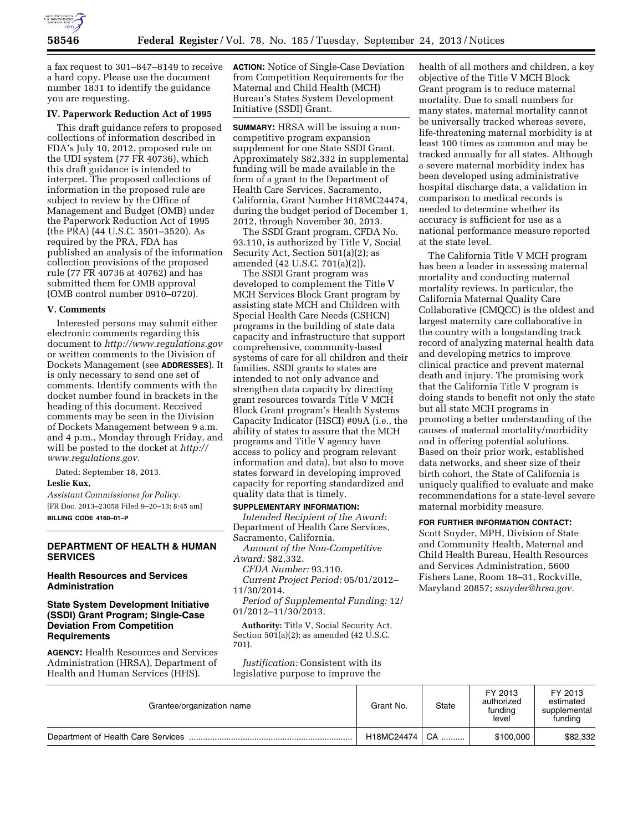

a fax request to 301–847–8149 to receive a hard copy. Please use the document number 1831 to identify the guidance you are requesting.

### **IV. Paperwork Reduction Act of 1995**

This draft guidance refers to proposed collections of information described in FDA's July 10, 2012, proposed rule on the UDI system (77 FR 40736), which this draft guidance is intended to interpret. The proposed collections of information in the proposed rule are subject to review by the Office of Management and Budget (OMB) under the Paperwork Reduction Act of 1995 (the PRA) (44 U.S.C. 3501–3520). As required by the PRA, FDA has published an analysis of the information collection provisions of the proposed rule (77 FR 40736 at 40762) and has submitted them for OMB approval (OMB control number 0910–0720).

### **V. Comments**

Interested persons may submit either electronic comments regarding this document to *<http://www.regulations.gov>* or written comments to the Division of Dockets Management (see **ADDRESSES**). It is only necessary to send one set of comments. Identify comments with the docket number found in brackets in the heading of this document. Received comments may be seen in the Division of Dockets Management between 9 a.m. and 4 p.m., Monday through Friday, and will be posted to the docket at *[http://](http://www.regulations.gov) [www.regulations.gov.](http://www.regulations.gov)* 

Dated: September 18, 2013.

#### **Leslie Kux,**

*Assistant Commissioner for Policy.*  [FR Doc. 2013–23058 Filed 9–20–13; 8:45 am] **BILLING CODE 4160–01–P** 

### **DEPARTMENT OF HEALTH & HUMAN SERVICES**

# **Health Resources and Services Administration**

# **State System Development Initiative (SSDI) Grant Program; Single-Case Deviation From Competition Requirements**

**AGENCY:** Health Resources and Services Administration (HRSA), Department of Health and Human Services (HHS).

**ACTION:** Notice of Single-Case Deviation from Competition Requirements for the Maternal and Child Health (MCH) Bureau's States System Development Initiative (SSDI) Grant.

**SUMMARY:** HRSA will be issuing a noncompetitive program expansion supplement for one State SSDI Grant. Approximately \$82,332 in supplemental funding will be made available in the form of a grant to the Department of Health Care Services, Sacramento, California, Grant Number H18MC24474, during the budget period of December 1, 2012, through November 30, 2013.

The SSDI Grant program, CFDA No. 93.110, is authorized by Title V, Social Security Act, Section 501(a)(2); as amended (42 U.S.C. 701(a)(2)).

The SSDI Grant program was developed to complement the Title V MCH Services Block Grant program by assisting state MCH and Children with Special Health Care Needs (CSHCN) programs in the building of state data capacity and infrastructure that support comprehensive, community-based systems of care for all children and their families. SSDI grants to states are intended to not only advance and strengthen data capacity by directing grant resources towards Title V MCH Block Grant program's Health Systems Capacity Indicator (HSCI) #09A (i.e., the ability of states to assure that the MCH programs and Title V agency have access to policy and program relevant information and data), but also to move states forward in developing improved capacity for reporting standardized and quality data that is timely.

# **SUPPLEMENTARY INFORMATION:**

*Intended Recipient of the Award:*  Department of Health Care Services, Sacramento, California.

*Amount of the Non-Competitive Award:* \$82,332.

*CFDA Number:* 93.110.

*Current Project Period:* 05/01/2012– 11/30/2014.

*Period of Supplemental Funding:* 12/ 01/2012–11/30/2013.

**Authority:** Title V, Social Security Act, Section  $501(a)(2)$ ; as amended (42 U.S.C. 701).

*Justification:* Consistent with its legislative purpose to improve the

health of all mothers and children, a key objective of the Title V MCH Block Grant program is to reduce maternal mortality. Due to small numbers for many states, maternal mortality cannot be universally tracked whereas severe, life-threatening maternal morbidity is at least 100 times as common and may be tracked annually for all states. Although a severe maternal morbidity index has been developed using administrative hospital discharge data, a validation in comparison to medical records is needed to determine whether its accuracy is sufficient for use as a national performance measure reported at the state level.

The California Title V MCH program has been a leader in assessing maternal mortality and conducting maternal mortality reviews. In particular, the California Maternal Quality Care Collaborative (CMQCC) is the oldest and largest maternity care collaborative in the country with a longstanding track record of analyzing maternal health data and developing metrics to improve clinical practice and prevent maternal death and injury. The promising work that the California Title V program is doing stands to benefit not only the state but all state MCH programs in promoting a better understanding of the causes of maternal mortality/morbidity and in offering potential solutions. Based on their prior work, established data networks, and sheer size of their birth cohort, the State of California is uniquely qualified to evaluate and make recommendations for a state-level severe maternal morbidity measure.

#### **FOR FURTHER INFORMATION CONTACT:**

Scott Snyder, MPH, Division of State and Community Health, Maternal and Child Health Bureau, Health Resources and Services Administration, 5600 Fishers Lane, Room 18–31, Rockville, Maryland 20857; *[ssnyder@hrsa.gov.](mailto:ssnyder@hrsa.gov)* 

| Grantee/organization name | Grant No.  | State | FY 2013<br>authorized<br>funding<br>level | FY 2013<br>estimated<br>supplemental<br>funding |
|---------------------------|------------|-------|-------------------------------------------|-------------------------------------------------|
|                           | H18MC24474 | CA    | \$100,000                                 | \$82,332                                        |